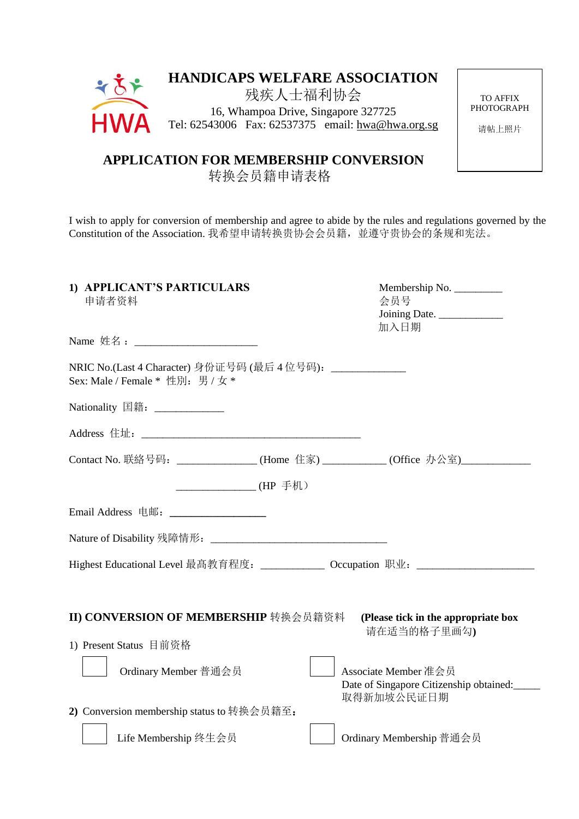| $\div \mathbf{X}$ | <b>HANDICAPS WELFARE ASSOCIATION</b>              |  |
|-------------------|---------------------------------------------------|--|
|                   | 残疾人士福利协会                                          |  |
|                   | 16, Whampoa Drive, Singapore 327725               |  |
| <b>HWA</b>        | Tel: 62543006 Fax: 62537375 email: hwa@hwa.org.sg |  |
|                   |                                                   |  |

TO AFFIX PHOTOGRAPH

请帖上照片

 **APPLICATION FOR MEMBERSHIP CONVERSION**

转换会员籍申请表格

I wish to apply for conversion of membership and agree to abide by the rules and regulations governed by the Constitution of the Association. 我希望申请转换贵协会会员籍,並遵守贵协会的条规和宪法。

| 1) APPLICANT'S PARTICULARS<br>申请者资料                                                              | Membership No.<br>会员号<br>Joining Date.<br>加入日期                                |  |  |  |  |
|--------------------------------------------------------------------------------------------------|-------------------------------------------------------------------------------|--|--|--|--|
|                                                                                                  |                                                                               |  |  |  |  |
| NRIC No.(Last 4 Character) 身份证号码 (最后 4 位号码): _______________<br>Sex: Male / Female * 性別: 男 / 女 * |                                                                               |  |  |  |  |
| Nationality 国籍: _____________                                                                    |                                                                               |  |  |  |  |
|                                                                                                  |                                                                               |  |  |  |  |
| Contact No. 联絡号码: ______________(Home 住家)__________(Office 办公室)_________________                 |                                                                               |  |  |  |  |
| ________________(HP 手机)                                                                          |                                                                               |  |  |  |  |
| Email Address 电邮: ____________________                                                           |                                                                               |  |  |  |  |
|                                                                                                  |                                                                               |  |  |  |  |
| Highest Educational Level 最髙教育程度: _____________ Occupation 职业: __________________                |                                                                               |  |  |  |  |
|                                                                                                  |                                                                               |  |  |  |  |
| II) CONVERSION OF MEMBERSHIP 转换会员籍资料                                                             | (Please tick in the appropriate box<br>请在适当的格子里画勾)                            |  |  |  |  |
| 1) Present Status 目前资格                                                                           |                                                                               |  |  |  |  |
| Ordinary Member 普通会员                                                                             | Associate Member 准会员<br>Date of Singapore Citizenship obtained:<br>取得新加坡公民证日期 |  |  |  |  |
| 2) Conversion membership status to 转换会员籍至:                                                       |                                                                               |  |  |  |  |
| Life Membership 终生会员                                                                             | Ordinary Membership 普通会员                                                      |  |  |  |  |